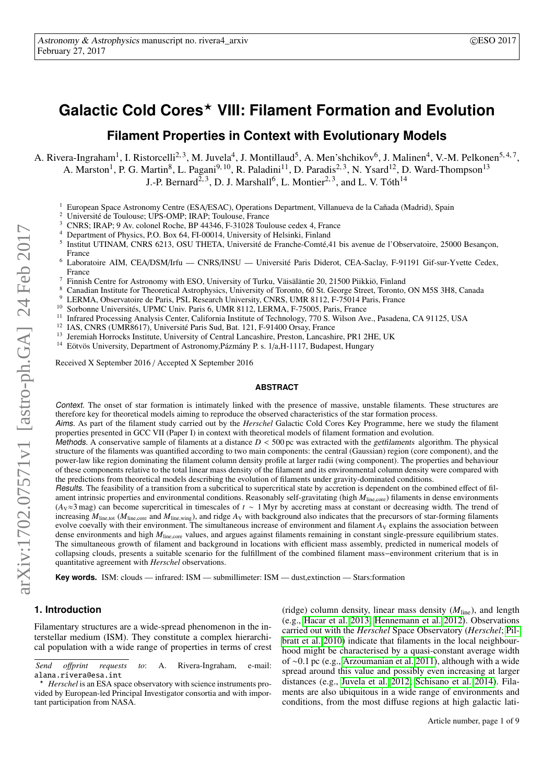# **Galactic Cold Cores**? **VIII: Filament Formation and Evolution**

**Filament Properties in Context with Evolutionary Models**

A. Rivera-Ingraham<sup>1</sup>, I. Ristorcelli<sup>2,3</sup>, M. Juvela<sup>4</sup>, J. Montillaud<sup>5</sup>, A. Men'shchikov<sup>6</sup>, J. Malinen<sup>4</sup>, V.-M. Pelkonen<sup>5,4,7</sup>,

A. Marston<sup>1</sup>, P. G. Martin<sup>8</sup>, L. Pagani<sup>9, 10</sup>, R. Paladini<sup>11</sup>, D. Paradis<sup>2, 3</sup>, N. Ysard<sup>12</sup>, D. Ward-Thompson<sup>13</sup>

J.-P. Bernard<sup>2, 3</sup>, D. J. Marshall<sup>6</sup>, L. Montier<sup>2, 3</sup>, and L. V. Tóth<sup>14</sup>

- <sup>1</sup> European Space Astronomy Centre (ESA/ESAC), Operations Department, Villanueva de la Cañada (Madrid), Spain<br><sup>2</sup> Universitá de Teulouse UBS OMB; IPA B: Teulouse France
- <sup>2</sup> Université de Toulouse; UPS-OMP; IRAP; Toulouse, France
- <sup>3</sup> CNRS; IRAP; 9 Av. colonel Roche, BP 44346, F-31028 Toulouse cedex 4, France
- <sup>4</sup> Department of Physics, P.O. Box 64, FI-00014, University of Helsinki, Finland
- 5 Institut UTINAM, CNRS 6213, OSU THETA, Université de Franche-Comté,41 bis avenue de l'Observatoire, 25000 Besançon, France
- <sup>6</sup> Laboratoire AIM, CEA/DSM/Irfu CNRS/INSU Université Paris Diderot, CEA-Saclay, F-91191 Gif-sur-Yvette Cedex, France
- <sup>7</sup> Finnish Centre for Astronomy with ESO, University of Turku, Väisäläntie 20, 21500 Piikkiö, Finland  $\frac{8}{10}$
- <sup>8</sup> Canadian Institute for Theoretical Astrophysics, University of Toronto, 60 St. George Street, Toronto, ON M5S 3H8, Canada<br><sup>9</sup> LEBMA, Observateira de Peris, PSL Pessensh University, CNBS, UMB 8113, E 75014 Peris, France
- <sup>9</sup> LERMA, Observatoire de Paris, PSL Research University, CNRS, UMR 8112, F-75014 Paris, France<br><sup>10</sup> Sorbonna Universitée, UPMC Univ. Paris 6, UMP 8112, J EPMA, E 75005, Paris, France
- <sup>10</sup> Sorbonne Universités, UPMC Univ. Paris 6, UMR 8112, LERMA, F-75005, Paris, France<br><sup>11</sup> Lefano de Discoveire, Anglatic Grates, Galifannia Institute of Technology 770 S. Wilson Are
- <sup>11</sup> Infrared Processing Analysis Center, California Institute of Technology, 770 S. Wilson Ave., Pasadena, CA 91125, USA<br><sup>12</sup> JAS CNDS (UMD9617), Université Paris Sud, Pet. 121, E 01400 Organ France.
- <sup>12</sup> IAS, CNRS (UMR8617), Université Paris Sud, Bat. 121, F-91400 Orsay, France<br> $\frac{13}{12}$  Israelia Ugaragelia Indianapity of Central Longobia, Praetan Longobia
- <sup>13</sup> Jeremiah Horrocks Institute, University of Central Lancashire, Preston, Lancashire, PR1 2HE, UK<br><sup>14</sup> Eğtuğa University, Department of Astronomy Bérmény B.s. 1/6 H 1117, Budapest, Hungary
- <sup>14</sup> Eötvös University, Department of Astronomy,Pázmány P. s. 1/a,H-1117, Budapest, Hungary

Received X September 2016 / Accepted X September 2016

#### **ABSTRACT**

Context. The onset of star formation is intimately linked with the presence of massive, unstable filaments. These structures are therefore key for theoretical models aiming to reproduce the observed characteristics of the star formation process.

Aims. As part of the filament study carried out by the *Herschel* Galactic Cold Cores Key Programme, here we study the filament properties presented in GCC VII (Paper I) in context with theoretical models of filament formation and evolution.

Methods. A conservative sample of filaments at a distance  $D < 500$  pc was extracted with the getfilaments algorithm. The physical structure of the filaments was quantified according to two main components: the central (Gaussian) region (core component), and the power-law like region dominating the filament column density profile at larger radii (wing component). The properties and behaviour of these components relative to the total linear mass density of the filament and its environmental column density were compared with the predictions from theoretical models describing the evolution of filaments under gravity-dominated conditions.

Results. The feasibility of a transition from a subcritical to supercritical state by accretion is dependent on the combined effect of filament intrinsic properties and environmental conditions. Reasonably self-gravitating (high  $M_{\text{line,core}}$ ) filaments in dense environments (*A*V≈3 mag) can become supercritical in timescales of *t* ∼ 1 Myr by accreting mass at constant or decreasing width. The trend of increasing  $M_{\text{line,tot}}$  ( $M_{\text{line,core}}$  and  $M_{\text{line,wing}}$ ), and ridge  $A_V$  with background also indicates that the precursors of star-forming filaments evolve coevally with their environment. The simultaneous increase of enviro dense environments and high  $M_{line,core}$  values, and argues against filaments remaining in constant single-pressure equilibrium states. The simultaneous growth of filament and background in locations with efficient mass assembly, predicted in numerical models of collapsing clouds, presents a suitable scenario for the fulfillment of the combined filament mass−environment criterium that is in quantitative agreement with *Herschel* observations.

**Key words.** ISM: clouds — infrared: ISM — submillimeter: ISM — dust,extinction — Stars:formation

#### **1. Introduction**

Filamentary structures are a wide-spread phenomenon in the interstellar medium (ISM). They constitute a complex hierarchical population with a wide range of properties in terms of crest

(ridge) column density, linear mass density (*M*line), and length (e.g., [Hacar et al. 2013;](#page-8-0) [Hennemann et al. 2012\)](#page-8-1). Observations carried out with the *Herschel* Space Observatory (*Herschel*; [Pil](#page-8-2)[bratt et al. 2010\)](#page-8-2) indicate that filaments in the local neighbourhood might be characterised by a quasi-constant average width of <sup>∼</sup>0.1 pc (e.g., [Arzoumanian et al. 2011\)](#page-8-3), although with a wide spread around this value and possibly even increasing at larger distances (e.g., [Juvela et al. 2012;](#page-8-4) [Schisano et al. 2014\)](#page-8-5). Filaments are also ubiquitous in a wide range of environments and conditions, from the most diffuse regions at high galactic lati-

*Send o*ff*print requests to*: A. Rivera-Ingraham, e-mail: alana.rivera@esa.int

*Herschel* is an ESA space observatory with science instruments provided by European-led Principal Investigator consortia and with important participation from NASA.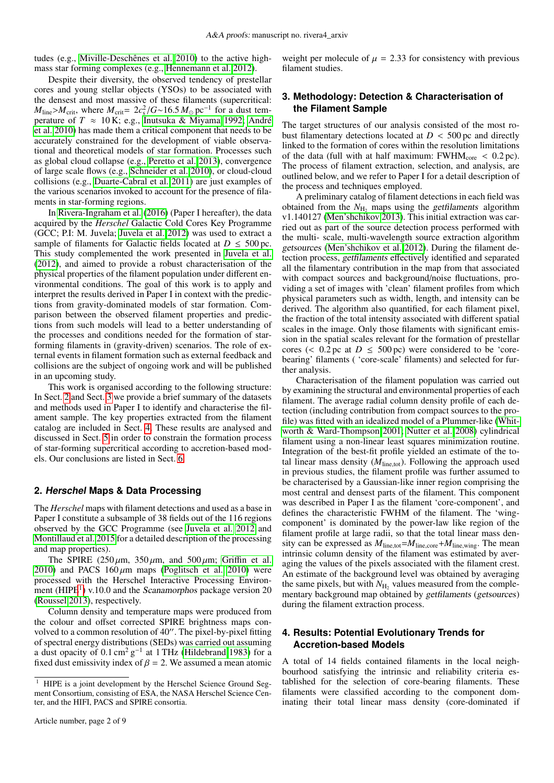tudes (e.g., [Miville-Deschênes et al. 2010\)](#page-8-6) to the active highmass star forming complexes (e.g., [Hennemann et al. 2012\)](#page-8-1).

Despite their diversity, the observed tendency of prestellar cores and young stellar objects (YSOs) to be associated with the densest and most massive of these filaments (supercritical: *M*<sub>line</sub>>*M*<sub>crit</sub>, where *M*<sub>crit</sub>= 2*c*<sup>2</sup><sub>s</sub>/*G*∼16.5 *M*<sub>o</sub> pc<sup>-1</sup> for a dust tem-<br>perature of *T* ≈ 10 K· e σ Inutsuka & Miyama 1992· André perature of  $T \approx 10$  K; e.g., [Inutsuka & Miyama 1992;](#page-8-7) [André](#page-8-8) [et al. 2010\)](#page-8-8) has made them a critical component that needs to be accurately constrained for the development of viable observational and theoretical models of star formation. Processes such as global cloud collapse (e.g., [Peretto et al. 2013\)](#page-8-9), convergence of large scale flows (e.g., [Schneider et al. 2010\)](#page-8-10), or cloud-cloud collisions (e.g., [Duarte-Cabral et al. 2011\)](#page-8-11) are just examples of the various scenarios invoked to account for the presence of filaments in star-forming regions.

In [Rivera-Ingraham et al.](#page-8-12) [\(2016\)](#page-8-12) (Paper I hereafter), the data acquired by the *Herschel* Galactic Cold Cores Key Programme (GCC; P.I: M. Juvela; [Juvela et al. 2012\)](#page-8-4) was used to extract a sample of filaments for Galactic fields located at  $D \leq 500$  pc. This study complemented the work presented in [Juvela et al.](#page-8-4) [\(2012\)](#page-8-4), and aimed to provide a robust characterisation of the physical properties of the filament population under different environmental conditions. The goal of this work is to apply and interpret the results derived in Paper I in context with the predictions from gravity-dominated models of star formation. Comparison between the observed filament properties and predictions from such models will lead to a better understanding of the processes and conditions needed for the formation of starforming filaments in (gravity-driven) scenarios. The role of external events in filament formation such as external feedback and collisions are the subject of ongoing work and will be published in an upcoming study.

This work is organised according to the following structure: In Sect. [2](#page-1-0) and Sect. [3](#page-1-1) we provide a brief summary of the datasets and methods used in Paper I to identify and characterise the filament sample. The key properties extracted from the filament catalog are included in Sect. [4.](#page-1-2) These results are analysed and discussed in Sect. [5](#page-2-0) in order to constrain the formation process of star-forming supercritical according to accretion-based models. Our conclusions are listed in Sect. [6.](#page-7-0)

## <span id="page-1-0"></span>**2. Herschel Maps & Data Processing**

The *Herschel* maps with filament detections and used as a base in Paper I constitute a subsample of 38 fields out of the 116 regions observed by the GCC Programme (see [Juvela et al. 2012](#page-8-4) and [Montillaud et al. 2015](#page-8-13) for a detailed description of the processing and map properties).

The SPIRE  $(250 \,\mu\text{m}, 350 \,\mu\text{m}, \text{and } 500 \,\mu\text{m}; \text{Griffin et al.})$  $(250 \,\mu\text{m}, 350 \,\mu\text{m}, \text{and } 500 \,\mu\text{m}; \text{Griffin et al.})$  $(250 \,\mu\text{m}, 350 \,\mu\text{m}, \text{and } 500 \,\mu\text{m}; \text{Griffin et al.})$ [2010\)](#page-8-14) and PACS  $160 \mu m$  maps [\(Poglitsch et al. 2010\)](#page-8-15) were processed with the Herschel Interactive Processing Environ-ment (HIPE<sup>[1](#page-1-3)</sup>) v.10.0 and the Scanamorphos package version 20 [\(Roussel 2013\)](#page-8-16), respectively.

Column density and temperature maps were produced from the colour and offset corrected SPIRE brightness maps convolved to a common resolution of 40". The pixel-by-pixel fitting of spectral energy distributions (SEDs) was carried out assuming a dust opacity of 0.1 cm<sup>2</sup> g<sup>-1</sup> at 1 THz [\(Hildebrand 1983\)](#page-8-17) for a fixed dust emissivity index of  $\beta = 2$ . We assumed a mean atomic fixed dust emissivity index of  $\beta = 2$ . We assumed a mean atomic weight per molecule of  $\mu = 2.33$  for consistency with previous filament studies.

# <span id="page-1-1"></span>**3. Methodology: Detection & Characterisation of the Filament Sample**

The target structures of our analysis consisted of the most robust filamentary detections located at  $D < 500$  pc and directly linked to the formation of cores within the resolution limitations of the data (full with at half maximum:  $FWHM_{core} < 0.2 pc$ ). The process of filament extraction, selection, and analysis, are outlined below, and we refer to Paper I for a detail description of the process and techniques employed.

A preliminary catalog of filament detections in each field was obtained from the  $N_{\text{H}_2}$  maps using the *getfilaments* algorithm v1.140127 [\(Men'shchikov 2013\)](#page-8-18). This initial extraction was carried out as part of the source detection process performed with the multi- scale, multi-wavelength source extraction algorithm getsources [\(Men'shchikov et al. 2012\)](#page-8-19). During the filament detection process, getfilaments effectively identified and separated all the filamentary contribution in the map from that associated with compact sources and background/noise fluctuations, providing a set of images with 'clean' filament profiles from which physical parameters such as width, length, and intensity can be derived. The algorithm also quantified, for each filament pixel, the fraction of the total intensity associated with different spatial scales in the image. Only those filaments with significant emission in the spatial scales relevant for the formation of prestellar cores (<  $0.\overline{2}$  pc at  $D \le 500$  pc) were considered to be 'corebearing' filaments ( 'core-scale' filaments) and selected for further analysis.

Characterisation of the filament population was carried out by examining the structural and environmental properties of each filament. The average radial column density profile of each detection (including contribution from compact sources to the profile) was fitted with an idealized model of a Plummer-like [\(Whit](#page-8-20)[worth & Ward-Thompson 2001;](#page-8-20) [Nutter et al. 2008\)](#page-8-21) cylindrical filament using a non-linear least squares minimization routine. Integration of the best-fit profile yielded an estimate of the total linear mass density  $(M<sub>line, tot</sub>)$ . Following the approach used in previous studies, the filament profile was further assumed to be characterised by a Gaussian-like inner region comprising the most central and densest parts of the filament. This component was described in Paper I as the filament 'core-component', and defines the characteristic FWHM of the filament. The 'wingcomponent' is dominated by the power-law like region of the filament profile at large radii, so that the total linear mass density can be expressed as  $M_{\text{line,tot}} = M_{\text{line,core}} + M_{\text{line,wing}}$ . The mean intrinsic column density of the filament was estimated by averaging the values of the pixels associated with the filament crest. An estimate of the background level was obtained by averaging the same pixels, but with  $N_{\text{H}_2}$  values measured from the complementary background map obtained by getfilaments (getsources) during the filament extraction process.

# <span id="page-1-2"></span>**4. Results: Potential Evolutionary Trends for Accretion-based Models**

A total of 14 fields contained filaments in the local neighbourhood satisfying the intrinsic and reliability criteria established for the selection of core-bearing filaments. These filaments were classified according to the component dominating their total linear mass density (core-dominated if

<span id="page-1-3"></span><sup>&</sup>lt;sup>1</sup> HIPE is a joint development by the Herschel Science Ground Segment Consortium, consisting of ESA, the NASA Herschel Science Center, and the HIFI, PACS and SPIRE consortia.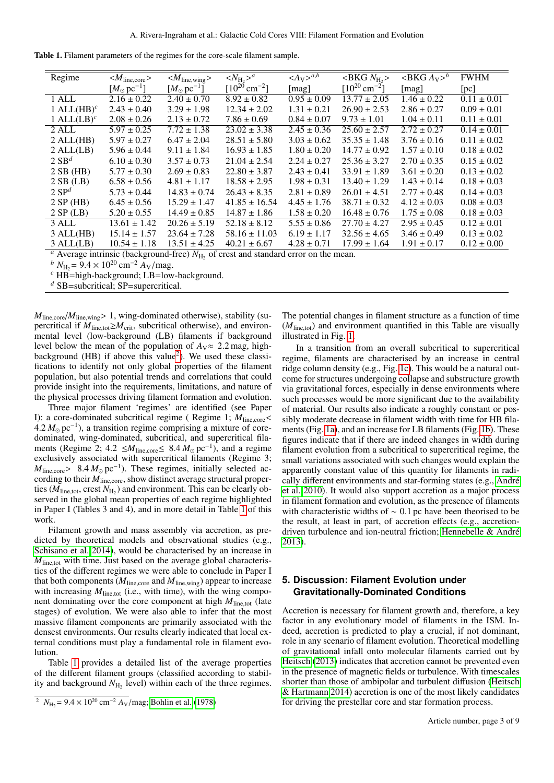|  |  |  |  |  |  |  | <b>Table 1.</b> Filament parameters of the regimes for the core-scale filament sample. |
|--|--|--|--|--|--|--|----------------------------------------------------------------------------------------|
|--|--|--|--|--|--|--|----------------------------------------------------------------------------------------|

<span id="page-2-2"></span>

| Regime                                                                                                            | $ M_{line,core}\rangle$          | $ M_{\text{line}, \text{wing}}\rangle$ | $\langle N_{\rm H} \rangle^a$ | $\langle A_V \rangle^{a,b}$ | >BKG N <sub>H</sub>           | $\langle \text{BKG} \, A_V \rangle^b$ | <b>FWHM</b>     |  |  |  |
|-------------------------------------------------------------------------------------------------------------------|----------------------------------|----------------------------------------|-------------------------------|-----------------------------|-------------------------------|---------------------------------------|-----------------|--|--|--|
|                                                                                                                   | $[M_{\odot} \,\mathrm{pc}^{-1}]$ | $[M_{\odot} \,\mathrm{pc}^{-1}]$       | $[10^{20}$ cm <sup>-2</sup> ] | [mag]                       | $[10^{20}$ cm <sup>-2</sup> ] | [mag]                                 | [pc]            |  |  |  |
| 1 ALL                                                                                                             | $2.16 \pm 0.22$                  | $2.40 \pm 0.70$                        | $8.92 \pm 0.82$               | $0.95 \pm 0.09$             | $\overline{13.77 \pm 2.05}$   | $1.46 \pm 0.22$                       | $0.11 \pm 0.01$ |  |  |  |
| 1 ALL $(HB)^c$                                                                                                    | $2.43 \pm 0.40$                  | $3.29 \pm 1.98$                        | $12.34 \pm 2.02$              | $1.31 \pm 0.21$             | $26.90 \pm 2.53$              | $2.86 \pm 0.27$                       | $0.09 \pm 0.01$ |  |  |  |
| 1 ALL $(LB)^c$                                                                                                    | $2.08 \pm 0.26$                  | $2.13 \pm 0.72$                        | $7.86 \pm 0.69$               | $0.84 \pm 0.07$             | $9.73 \pm 1.01$               | $1.04 \pm 0.11$                       | $0.11 \pm 0.01$ |  |  |  |
| 2 ALL                                                                                                             | $5.97 \pm 0.25$                  | $7.72 \pm 1.38$                        | $23.02 \pm 3.38$              | $2.45 \pm 0.36$             | $25.60 \pm 2.57$              | $2.72 \pm 0.27$                       | $0.14 \pm 0.01$ |  |  |  |
| $2$ ALL $(HB)$                                                                                                    | $5.97 \pm 0.27$                  | $6.47 \pm 2.04$                        | $28.51 \pm 5.80$              | $3.03 \pm 0.62$             | $35.35 \pm 1.48$              | $3.76 \pm 0.16$                       | $0.11 \pm 0.02$ |  |  |  |
| $2$ ALL $(LB)$                                                                                                    | $5.96 \pm 0.44$                  | $9.11 \pm 1.84$                        | $16.93 \pm 1.85$              | $1.80 \pm 0.20$             | $14.77 \pm 0.92$              | $1.57 \pm 0.10$                       | $0.18 \pm 0.02$ |  |  |  |
| $2 S B^d$                                                                                                         | $6.10 \pm 0.30$                  | $3.57 \pm 0.73$                        | $21.04 \pm 2.54$              | $2.24 \pm 0.27$             | $25.36 \pm 3.27$              | $2.70 \pm 0.35$                       | $0.15 \pm 0.02$ |  |  |  |
| 2SB(HB)                                                                                                           | $5.77 \pm 0.30$                  | $2.69 \pm 0.83$                        | $22.80 \pm 3.87$              | $2.43 \pm 0.41$             | $33.91 \pm 1.89$              | $3.61 \pm 0.20$                       | $0.13 \pm 0.02$ |  |  |  |
| $2SB$ (LB)                                                                                                        | $6.58 \pm 0.56$                  | $4.81 \pm 1.17$                        | $18.58 \pm 2.95$              | $1.98 \pm 0.31$             | $13.40 \pm 1.29$              | $1.43 \pm 0.14$                       | $0.18 \pm 0.03$ |  |  |  |
| $2 S P^d$                                                                                                         | $5.73 \pm 0.44$                  | $14.83 \pm 0.74$                       | $26.43 \pm 8.35$              | $2.81 \pm 0.89$             | $26.01 \pm 4.51$              | $2.77 \pm 0.48$                       | $0.14 \pm 0.03$ |  |  |  |
| 2 SP(HB)                                                                                                          | $6.45 \pm 0.56$                  | $15.29 \pm 1.47$                       | $41.85 \pm 16.54$             | $4.45 \pm 1.76$             | $38.71 \pm 0.32$              | $4.12 \pm 0.03$                       | $0.08 \pm 0.03$ |  |  |  |
| 2 SP(LB)                                                                                                          | $5.20 \pm 0.55$                  | $14.49 \pm 0.85$                       | $14.87 \pm 1.86$              | $1.58 \pm 0.20$             | $16.48 \pm 0.76$              | $1.75 \pm 0.08$                       | $0.18 \pm 0.03$ |  |  |  |
| 3 ALL                                                                                                             | $13.61 \pm 1.42$                 | $20.26 \pm 5.19$                       | $52.18 \pm 8.12$              | $5.55 \pm 0.86$             | $\sqrt{27.70} \pm 4.27$       | $2.95 \pm 0.45$                       | $0.12 \pm 0.01$ |  |  |  |
| $3$ ALL $(HB)$                                                                                                    | $15.14 \pm 1.57$                 | $23.64 \pm 7.28$                       | $58.16 \pm 11.03$             | $6.19 \pm 1.17$             | $32.56 \pm 4.65$              | $3.46 \pm 0.49$                       | $0.13 \pm 0.02$ |  |  |  |
| $3$ ALL $(LB)$                                                                                                    | $10.54 \pm 1.18$                 | $13.51 \pm 4.25$                       | $40.21 \pm 6.67$              | $4.28 \pm 0.71$             | $17.99 \pm 1.64$              | $1.91 \pm 0.17$                       | $0.12 \pm 0.00$ |  |  |  |
| <sup><i>a</i></sup> Average intrinsic (background-free) $N_{\text{H}_2}$ of crest and standard error on the mean. |                                  |                                        |                               |                             |                               |                                       |                 |  |  |  |

*b*  $N_{\text{H}_2}$  = 9.4 × 10<sup>20</sup> cm<sup>-2</sup>  $A_V$ /mag.

*<sup>c</sup>* HB=high-background; LB=low-background.

*<sup>d</sup>* SB=subcritical; SP=supercritical.

 $M_{line,core}/M_{line,wing}$  > 1, wing-dominated otherwise), stability (supercritical if  $M_{\text{line,tot}} \geq M_{\text{crit}}$ , subcritical otherwise), and environmental level (low-background (LB) filaments if background level below the mean of the population of  $A_V \approx 2.2$  mag, high-background (HB) if above this value<sup>[2](#page-2-1)</sup>). We used these classifications to identify not only global properties of the filament population, but also potential trends and correlations that could provide insight into the requirements, limitations, and nature of the physical processes driving filament formation and evolution.

Three major filament 'regimes' are identified (see Paper I): a core-dominated subcritical regime (Regime 1;  $M_{\text{line,core}}$ 4.2 M<sub>o</sub> pc<sup>-1</sup>), a transition regime comprising a mixture of core-<br>dominated wing-dominated subcritical and supercritical filadominated, wing-dominated, subcritical, and supercritical filaments (Regime 2; 4.2 ≤*M*<sub>line,core</sub> ≤ 8.4 *M*<sub>o</sub> pc<sup>-1</sup>), and a regime exclusively associated with supercritical filaments (Regime 3: exclusively associated with supercritical filaments (Regime 3;  $M_{\text{line,core}} > 8.4 M_{\odot} \text{ pc}^{-1}$ ). These regimes, initially selected according to their  $M_{\text{line,core}}$  show distinct average structural propercording to their  $M_{\text{line,core}}$ , show distinct average structural properties  $(M<sub>line,tot</sub>)$ , crest  $N<sub>H<sub>2</sub></sub>$ ) and environment. This can be clearly ob-<br>served in the global mean properties of each regime highlighted served in the global mean properties of each regime highlighted in Paper I (Tables 3 and 4), and in more detail in Table [1](#page-2-2) of this work.

Filament growth and mass assembly via accretion, as predicted by theoretical models and observational studies (e.g., [Schisano et al. 2014\)](#page-8-5), would be characterised by an increase in  $M<sub>line tot</sub>$  with time. Just based on the average global characteristics of the different regimes we were able to conclude in Paper I that both components ( $M_{\text{line,core}}$  and  $M_{\text{line,wing}}$ ) appear to increase with increasing  $M_{\text{line,tot}}$  (i.e., with time), with the wing component dominating over the core component at high  $M_{\text{line,tot}}$  (late stages) of evolution. We were also able to infer that the most massive filament components are primarily associated with the densest environments. Our results clearly indicated that local external conditions must play a fundamental role in filament evolution.

Table [1](#page-2-2) provides a detailed list of the average properties of the different filament groups (classified according to stability and background  $N_{\text{H}_2}$  level) within each of the three regimes.

The potential changes in filament structure as a function of time  $(M<sub>line tot</sub>)$  and environment quantified in this Table are visually illustrated in Fig. [1.](#page-3-0)

In a transition from an overall subcritical to supercritical regime, filaments are characterised by an increase in central ridge column density (e.g., Fig. [1c\)](#page-3-1). This would be a natural outcome for structures undergoing collapse and substructure growth via gravitational forces, especially in dense environments where such processes would be more significant due to the availability of material. Our results also indicate a roughly constant or possibly moderate decrease in filament width with time for HB filaments (Fig. [1a\)](#page-3-2), and an increase for LB filaments (Fig. [1b\)](#page-3-3). These figures indicate that if there are indeed changes in width during filament evolution from a subcritical to supercritical regime, the small variations associated with such changes would explain the apparently constant value of this quantity for filaments in radically different environments and star-forming states (e.g., [André](#page-8-8) [et al. 2010\)](#page-8-8). It would also support accretion as a major process in filament formation and evolution, as the presence of filaments with characteristic widths of  $\sim$  0.1 pc have been theorised to be the result, at least in part, of accretion effects (e.g., accretiondriven turbulence and ion-neutral friction; [Hennebelle & André](#page-8-23) [2013\)](#page-8-23).

# <span id="page-2-0"></span>**5. Discussion: Filament Evolution under Gravitationally-Dominated Conditions**

Accretion is necessary for filament growth and, therefore, a key factor in any evolutionary model of filaments in the ISM. Indeed, accretion is predicted to play a crucial, if not dominant, role in any scenario of filament evolution. Theoretical modelling of gravitational infall onto molecular filaments carried out by [Heitsch](#page-8-24) [\(2013\)](#page-8-24) indicates that accretion cannot be prevented even in the presence of magnetic fields or turbulence. With timescales shorter than those of ambipolar and turbulent diffusion [\(Heitsch](#page-8-25) [& Hartmann 2014\)](#page-8-25) accretion is one of the most likely candidates for driving the prestellar core and star formation process.

<span id="page-2-1"></span><sup>&</sup>lt;sup>2</sup>  $N_{\text{H}_2}$  = 9.4 × 10<sup>20</sup> cm<sup>-2</sup>  $A_V$ /mag; [Bohlin et al.](#page-8-22) [\(1978\)](#page-8-22)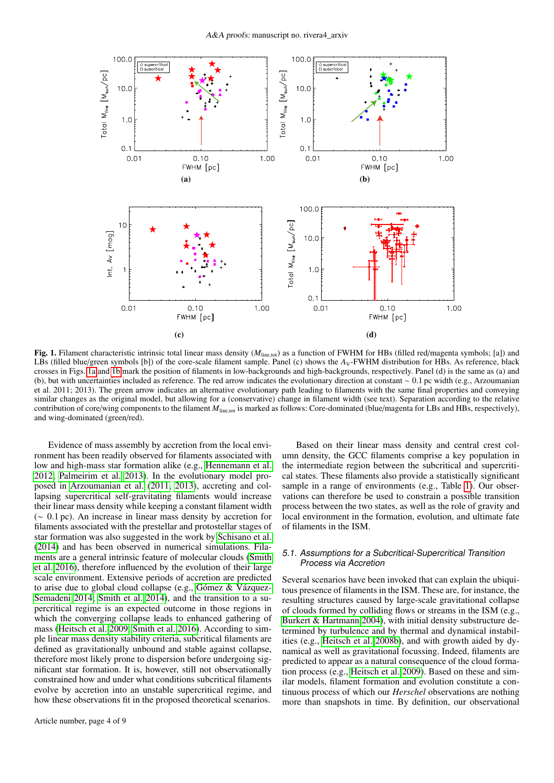<span id="page-3-3"></span><span id="page-3-2"></span><span id="page-3-1"></span>

<span id="page-3-0"></span>Fig. 1. Filament characteristic intrinsic total linear mass density ( $M<sub>line, tot</sub>$ ) as a function of FWHM for HBs (filled red/magenta symbols; [a]) and LBs (filled blue/green symbols [b]) of the core-scale filament sample. Panel (c) shows the *A*<sub>V</sub>-FWHM distribution for HBs. As reference, black crosses in Figs. [1a](#page-3-2) and [1b](#page-3-3) mark the position of filaments in low-backgrounds and high-backgrounds, respectively. Panel (d) is the same as (a) and (b), but with uncertainties included as reference. The red arrow indicates the evolutionary direction at constant <sup>∼</sup> <sup>0</sup>.1 pc width (e.g., Arzoumanian et al. 2011; 2013). The green arrow indicates an alternative evolutionary path leading to filaments with the same final properties and conveying similar changes as the original model, but allowing for a (conservative) change in filament width (see text). Separation according to the relative contribution of core/wing components to the filament *<sup>M</sup>*line,tot is marked as follows: Core-dominated (blue/magenta for LBs and HBs, respectively), and wing-dominated (green/red).

Evidence of mass assembly by accretion from the local environment has been readily observed for filaments associated with low and high-mass star formation alike (e.g., [Hennemann et al.](#page-8-1) [2012;](#page-8-1) [Palmeirim et al. 2013\)](#page-8-26). In the evolutionary model proposed in [Arzoumanian et al.](#page-8-3) [\(2011,](#page-8-3) [2013\)](#page-8-27), accreting and collapsing supercritical self-gravitating filaments would increase their linear mass density while keeping a constant filament width (<sup>∼</sup> <sup>0</sup>.1 pc). An increase in linear mass density by accretion for filaments associated with the prestellar and protostellar stages of star formation was also suggested in the work by [Schisano et al.](#page-8-5) [\(2014\)](#page-8-5) and has been observed in numerical simulations. Filaments are a general intrinsic feature of molecular clouds [\(Smith](#page-8-28) [et al. 2016\)](#page-8-28), therefore influenced by the evolution of their large scale environment. Extensive periods of accretion are predicted to arise due to global cloud collapse (e.g., [Gómez & Vázquez-](#page-8-29)[Semadeni 2014;](#page-8-29) [Smith et al. 2014\)](#page-8-30), and the transition to a supercritical regime is an expected outcome in those regions in which the converging collapse leads to enhanced gathering of mass [\(Heitsch et al. 2009,](#page-8-31) [Smith et al. 2016\)](#page-8-28). According to simple linear mass density stability criteria, subcritical filaments are defined as gravitationally unbound and stable against collapse, therefore most likely prone to dispersion before undergoing significant star formation. It is, however, still not observationally constrained how and under what conditions subcritical filaments evolve by accretion into an unstable supercritical regime, and how these observations fit in the proposed theoretical scenarios.

Based on their linear mass density and central crest column density, the GCC filaments comprise a key population in the intermediate region between the subcritical and supercritical states. These filaments also provide a statistically significant sample in a range of environments (e.g., Table [1\)](#page-2-2). Our observations can therefore be used to constrain a possible transition process between the two states, as well as the role of gravity and local environment in the formation, evolution, and ultimate fate of filaments in the ISM.

# 5.1. Assumptions for a Subcritical-Supercritical Transition Process via Accretion

Several scenarios have been invoked that can explain the ubiquitous presence of filaments in the ISM. These are, for instance, the resulting structures caused by large-scale gravitational collapse of clouds formed by colliding flows or streams in the ISM (e.g., [Burkert & Hartmann 2004\)](#page-8-32), with initial density substructure determined by turbulence and by thermal and dynamical instabilities (e.g., [Heitsch et al. 2008b\)](#page-8-33), and with growth aided by dynamical as well as gravitational focussing. Indeed, filaments are predicted to appear as a natural consequence of the cloud formation process (e.g., [Heitsch et al. 2009\)](#page-8-31). Based on these and similar models, filament formation and evolution constitute a continuous process of which our *Herschel* observations are nothing more than snapshots in time. By definition, our observational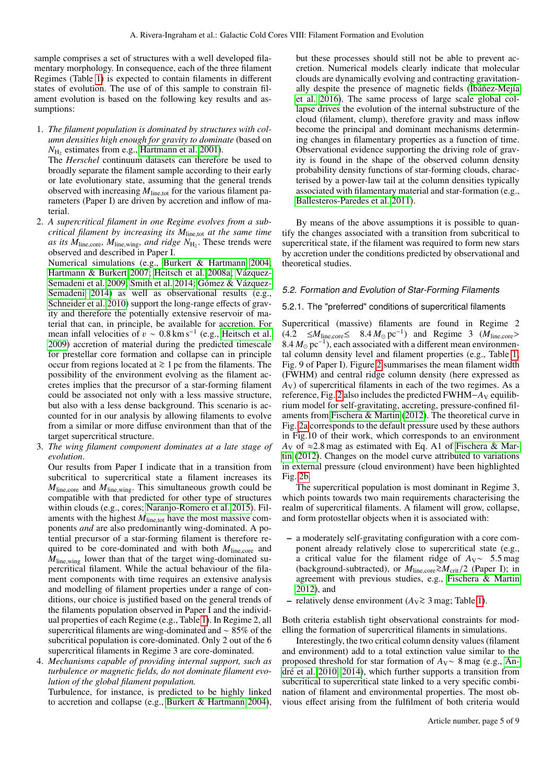sample comprises a set of structures with a well developed filamentary morphology. In consequence, each of the three filament Regimes (Table [1\)](#page-2-2) is expected to contain filaments in different states of evolution. The use of of this sample to constrain filament evolution is based on the following key results and assumptions:

1. *The filament population is dominated by structures with column densities high enough for gravity to dominate* (based on  $N_{\text{H}_2}$  estimates from e.g., [Hartmann et al. 2001\)](#page-8-34).

The *Herschel* continuum datasets can therefore be used to broadly separate the filament sample according to their early or late evolutionary state, assuming that the general trends observed with increasing *<sup>M</sup>*line,tot for the various filament parameters (Paper I) are driven by accretion and inflow of material.

2. *A supercritical filament in one Regime evolves from a subcritical filament by increasing its M*line,tot *at the same time as its M*<sub>line,core*, M*<sub>line,wing*, and ridge N*<sub>H<sub>2</sub>. These trends were observed and described in Paper I</sub></sub></sub> observed and described in Paper I.

Numerical simulations (e.g., [Burkert & Hartmann 2004;](#page-8-32) [Hartmann & Burkert 2007;](#page-8-35) [Heitsch et al. 2008a;](#page-8-36) [Vázquez-](#page-8-37)[Semadeni et al. 2009;](#page-8-37) [Smith et al. 2014;](#page-8-30) [Gómez & Vázquez-](#page-8-29)[Semadeni 2014\)](#page-8-29) as well as observational results (e.g., [Schneider et al. 2010\)](#page-8-10) support the long-range effects of gravity and therefore the potentially extensive reservoir of material that can, in principle, be available for accretion. For mean infall velocities of  $v \sim 0.8 \text{ km s}^{-1}$  (e.g., [Heitsch et al.](#page-8-31) 2009) accretion of material during the predicted timescale [2009\)](#page-8-31) accretion of material during the predicted timescale for prestellar core formation and collapse can in principle occur from regions located at <sup>&</sup>gt;<sup>∼</sup> 1 pc from the filaments. The possibility of the environment evolving as the filament accretes implies that the precursor of a star-forming filament could be associated not only with a less massive structure, but also with a less dense background. This scenario is accounted for in our analysis by allowing filaments to evolve from a similar or more diffuse environment than that of the target supercritical structure.

3. *The wing filament component dominates at a late stage of evolution*.

Our results from Paper I indicate that in a transition from subcritical to supercritical state a filament increases its *<sup>M</sup>*line,core and *<sup>M</sup>*line,wing. This simultaneous growth could be compatible with that predicted for other type of structures within clouds (e.g., cores; [Naranjo-Romero et al. 2015\)](#page-8-38). Filaments with the highest  $M_{\text{line,tot}}$  have the most massive components *and* are also predominantly wing-dominated. A potential precursor of a star-forming filament is therefore required to be core-dominated and with both  $M_{\text{line,core}}$  and *<sup>M</sup>*line,wing lower than that of the target wing-dominated supercritical filament. While the actual behaviour of the filament components with time requires an extensive analysis and modelling of filament properties under a range of conditions, our choice is justified based on the general trends of the filaments population observed in Paper I and the individual properties of each Regime (e.g., Table [1\)](#page-2-2). In Regime 2, all supercritical filaments are wing-dominated and ∼ 85% of the subcritical population is core-dominated. Only 2 out of the 6 supercritical filaments in Regime 3 are core-dominated.

4. *Mechanisms capable of providing internal support, such as turbulence or magnetic fields, do not dominate filament evolution of the global filament population.*

Turbulence, for instance, is predicted to be highly linked to accretion and collapse (e.g., [Burkert & Hartmann 2004\)](#page-8-32), but these processes should still not be able to prevent accretion. Numerical models clearly indicate that molecular clouds are dynamically evolving and contracting gravitationally despite the presence of magnetic fields [\(Ibáñez-Mejía](#page-8-39) [et al. 2016\)](#page-8-39). The same process of large scale global collapse drives the evolution of the internal substructure of the cloud (filament, clump), therefore gravity and mass inflow become the principal and dominant mechanisms determining changes in filamentary properties as a function of time. Observational evidence supporting the driving role of gravity is found in the shape of the observed column density probability density functions of star-forming clouds, characterised by a power-law tail at the column densities typically associated with filamentary material and star-formation (e.g., [Ballesteros-Paredes et al. 2011\)](#page-8-40).

By means of the above assumptions it is possible to quantify the changes associated with a transition from subcritical to supercritical state, if the filament was required to form new stars by accretion under the conditions predicted by observational and theoretical studies.

## 5.2. Formation and Evolution of Star-Forming Filaments

#### 5.2.1. The "preferred" conditions of supercritical filaments

Supercritical (massive) filaments are found in Regime 2 (4.<sup>2</sup> <sup>≤</sup>*M*line,core<sup>≤</sup> <sup>8</sup>.<sup>4</sup> *<sup>M</sup>* pc<sup>−</sup><sup>1</sup> ) and Regime 3 (*M*line,core<sup>&</sup>gt; 8.4 M<sub>o</sub> pc<sup>-1</sup>), each associated with a different mean environmental column density level and filament properties (e.g. Table 1: tal column density level and filament properties (e.g., Table [1;](#page-2-2) Fig. 9 of Paper I). Figure [2](#page-5-0) summarises the mean filament width (FWHM) and central ridge column density (here expressed as  $A_V$ ) of supercritical filaments in each of the two regimes. As a reference, Fig. [2](#page-5-0) also includes the predicted FWHM−*A*<sub>V</sub> equilibrium model for self-gravitating, accreting, pressure-confined filaments from [Fischera & Martin](#page-8-41) [\(2012\)](#page-8-41). The theoretical curve in Fig. [2a](#page-5-1) corresponds to the default pressure used by these authors in Fig.10 of their work, which corresponds to an environment  $A_V$  of  $\approx$ 2.8 mag as estimated with Eq. A1 of [Fischera & Mar](#page-8-41)[tin](#page-8-41) [\(2012\)](#page-8-41). Changes on the model curve attributed to variations in external pressure (cloud environment) have been highlighted Fig. [2b.](#page-5-2)

The supercritical population is most dominant in Regime 3, which points towards two main requirements characterising the realm of supercritical filaments. A filament will grow, collapse, and form protostellar objects when it is associated with:

- a moderately self-gravitating configuration with a core component already relatively close to supercritical state (e.g., a critical value for the filament ridge of *<sup>A</sup>*V<sup>∼</sup> <sup>5</sup>.5 mag (background-subtracted), or  $M_{line,core} \gtrsim M_{crit}/2$  (Paper I); in agreement with previous studies, e.g., [Fischera & Martin](#page-8-41) [2012\)](#page-8-41), and
- relatively dense environment (*A*<sup>V</sup> <sup>&</sup>gt;<sup>∼</sup> 3 mag; Table [1\)](#page-2-2).

Both criteria establish tight observational constraints for modelling the formation of supercritical filaments in simulations.

Interestingly, the two critical column density values (filament and environment) add to a total extinction value similar to the proposed threshold for star formation of *A*V∼ 8 mag (e.g., [An](#page-8-8)[dré et al. 2010,](#page-8-8) [2014\)](#page-8-42), which further supports a transition from subcritical to supercritical state linked to a very specific combination of filament and environmental properties. The most obvious effect arising from the fulfilment of both criteria would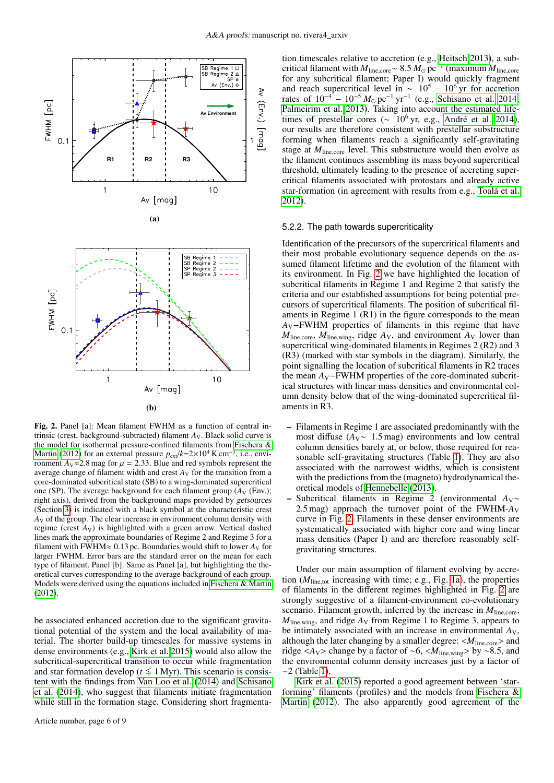<span id="page-5-2"></span><span id="page-5-1"></span>

<span id="page-5-0"></span>Fig. 2. Panel [a]: Mean filament FWHM as a function of central intrinsic (crest, background-subtracted) filament  $A_V$ . Black solid curve is the model for isothermal pressure-confined filaments from [Fischera &](#page-8-41) [Martin](#page-8-41) [\(2012\)](#page-8-41) for an external pressure  $p_{ext}/k=2\times10^4$  K cm<sup>-3</sup>, i.e., environment  $A_V \approx 2.8$  mag for  $\mu = 2.33$ . Blue and red symbols represent the average change of filament width and crest  $A_V$  for the transition from a core-dominated subcritical state (SB) to a wing-dominated supercritical one (SP). The average background for each filament group  $(A_V$  (Env.); right axis), derived from the background maps provided by getsources (Section [3\)](#page-1-1) is indicated with a black symbol at the characteristic crest  $A_V$  of the group. The clear increase in environment column density with regime (crest  $A_V$ ) is highlighted with a green arrow. Vertical dashed lines mark the approximate boundaries of Regime 2 and Regime 3 for a filament with FWHM≈ 0.13 pc. Boundaries would shift to lower  $A_V$  for larger FWHM. Error bars are the standard error on the mean for each type of filament. Panel [b]: Same as Panel [a], but highlighting the theoretical curves corresponding to the average background of each group. Models were derived using the equations included in [Fischera & Martin](#page-8-41)  $(2012)$ .

be associated enhanced accretion due to the significant gravitational potential of the system and the local availability of material. The shorter build-up timescales for massive systems in dense environments (e.g., [Kirk et al. 2015\)](#page-8-43) would also allow the subcritical-supercritical transition to occur while fragmentation and star formation develop ( $t \leq 1$  Myr). This scenario is consistent with the findings from [Van Loo et al.](#page-8-44) [\(2014\)](#page-8-44) and [Schisano](#page-8-5) [et al.](#page-8-5) [\(2014\)](#page-8-5), who suggest that filaments initiate fragmentation while still in the formation stage. Considering short fragmenta-

tion timescales relative to accretion (e.g., [Heitsch 2013\)](#page-8-24), a subcritical filament with *<sup>M</sup>*line,core<sup>∼</sup> <sup>8</sup>.<sup>5</sup> *<sup>M</sup>* pc−<sup>1</sup> (maximum *<sup>M</sup>*line,core for any subcritical filament; Paper I) would quickly fragment and reach supercritical level in  $\sim 10^5 - 10^6$  yr for accretion rates of  $10^{-4}$  –  $10^{-5} M_{\odot}$  pc<sup>-1</sup> yr<sup>-1</sup> (e.g., [Schisano et al. 2014;](#page-8-5) [Palmeirim et al. 2013\)](#page-8-26). Taking into account the estimated lifetimes of prestellar cores ( $\sim 10^6$  yr, e.g., [André et al. 2014\)](#page-8-42), our results are therefore consistent with prestellar substructure forming when filaments reach a significantly self-gravitating stage at  $M_{\text{line,core}}$  level. This substructure would then evolve as the filament continues assembling its mass beyond supercritical threshold, ultimately leading to the presence of accreting supercritical filaments associated with protostars and already active star-formation (in agreement with results from e.g., [Toalá et al.](#page-8-45) [2012\)](#page-8-45).

## 5.2.2. The path towards supercriticality

Identification of the precursors of the supercritical filaments and their most probable evolutionary sequence depends on the assumed filament lifetime and the evolution of the filament with its environment. In Fig. [2](#page-5-0) we have highlighted the location of subcritical filaments in Regime 1 and Regime 2 that satisfy the criteria and our established assumptions for being potential precursors of supercritical filaments. The position of subcritical filaments in Regime 1 (R1) in the figure corresponds to the mean *A*V−FWHM properties of filaments in this regime that have  $M_{\text{line,core}}$ ,  $M_{\text{line,wing}}$ , ridge  $A_V$ , and environment  $A_V$  lower than supercritical wing-dominated filaments in Regimes 2 (R2) and 3 (R3) (marked with star symbols in the diagram). Similarly, the point signalling the location of subcritical filaments in R2 traces the mean *A*<sub>V</sub>−FWHM properties of the core-dominated subcritical structures with linear mass densities and environmental column density below that of the wing-dominated supercritical filaments in R3.

- Filaments in Regime 1 are associated predominantly with the most diffuse (*A*<sub>V</sub>∼ 1.5 mag) environments and low central column densities barely at, or below, those required for reasonable self-gravitating structures (Table [1\)](#page-2-2). They are also associated with the narrowest widths, which is consistent with the predictions from the (magneto) hydrodynamical theoretical models of [Hennebelle](#page-8-46) [\(2013\)](#page-8-46).
- Subcritical filaments in Regime 2 (environmental *A*V∼ <sup>2</sup>.5 mag) approach the turnover point of the FWHM-*A*<sup>V</sup> curve in Fig. [2.](#page-5-0) Filaments in these denser environments are systematically associated with higher core and wing linear mass densities (Paper I) and are therefore reasonably selfgravitating structures.

Under our main assumption of filament evolving by accretion (*M*line,tot increasing with time; e.g., Fig. [1a\)](#page-3-2), the properties of filaments in the different regimes highlighted in Fig. [2](#page-5-0) are strongly suggestive of a filament-environment co-evolutionary scenario. Filament growth, inferred by the increase in  $M_{\text{line,core}}$ ,  $M_{\text{line,wing}}$ , and ridge  $A_V$  from Regime 1 to Regime 3, appears to be intimately associated with an increase in environmental *A*V, although the later changing by a smaller degree:  $line,core$  and ridge <*A*<sub>V</sub>> change by a factor of ~6, <*M*<sub>line,wing</sub>> by ~8.5, and the environmental column density increases just by a factor of  $~2$  (Table [1\)](#page-2-2).

[Kirk et al.](#page-8-43) [\(2015\)](#page-8-43) reported a good agreement between 'starforming' filaments (profiles) and the models from [Fischera &](#page-8-41) [Martin](#page-8-41) [\(2012\)](#page-8-41). The also apparently good agreement of the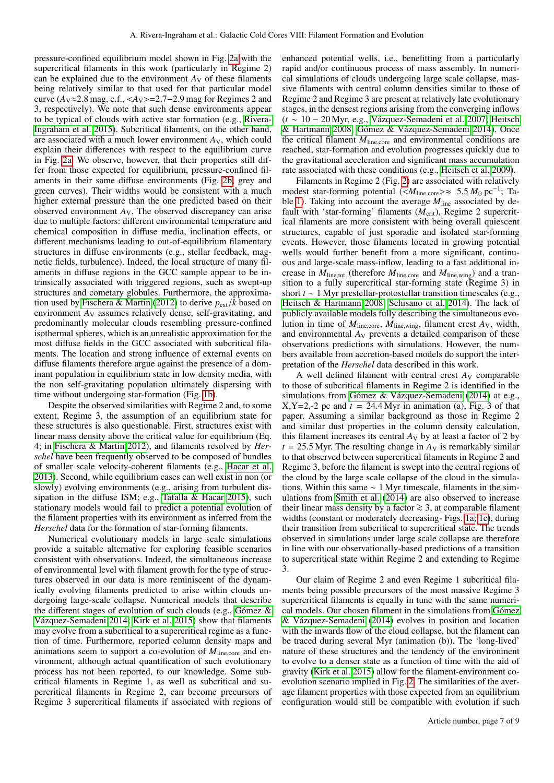pressure-confined equilibrium model shown in Fig. [2a](#page-5-1) with the supercritical filaments in this work (particularly in Regime 2) can be explained due to the environment  $A_V$  of these filaments being relatively similar to that used for that particular model curve  $(A_V \approx 2.8 \text{ mag}, c.f., \langle A_V \rangle = 2.7 - 2.9 \text{ mag}$  for Regimes 2 and 3, respectively). We note that such dense environments appear to be typical of clouds with active star formation (e.g., [Rivera-](#page-8-47)[Ingraham et al. 2015\)](#page-8-47). Subcritical filaments, on the other hand, are associated with a much lower environment  $A_V$ , which could explain their differences with respect to the equilibrium curve in Fig. [2a.](#page-5-1) We observe, however, that their properties still differ from those expected for equilibrium, pressure-confined filaments in their same diffuse environments (Fig. [2b;](#page-5-2) grey and green curves). Their widths would be consistent with a much higher external pressure than the one predicted based on their observed environment *A*V. The observed discrepancy can arise due to multiple factors: different environmental temperature and chemical composition in diffuse media, inclination effects, or different mechanisms leading to out-of-equilibrium filamentary structures in diffuse environments (e.g., stellar feedback, magnetic fields, turbulence). Indeed, the local structure of many filaments in diffuse regions in the GCC sample appear to be intrinsically associated with triggered regions, such as swept-up structures and cometary globules. Furthermore, the approxima-tion used by [Fischera & Martin](#page-8-41) [\(2012\)](#page-8-41) to derive  $p_{ext}/k$  based on environment  $A_V$  assumes relatively dense, self-gravitating, and predominantly molecular clouds resembling pressure-confined isothermal spheres, which is an unrealistic approximation for the most diffuse fields in the GCC associated with subcritical filaments. The location and strong influence of external events on diffuse filaments therefore argue against the presence of a dominant population in equilibrium state in low density media, with the non self-gravitating population ultimately dispersing with time without undergoing star-formation (Fig. [1b\)](#page-3-3).

Despite the observed similarities with Regime 2 and, to some extent, Regime 3, the assumption of an equilibrium state for these structures is also questionable. First, structures exist with linear mass density above the critical value for equilibrium (Eq. 4; in [Fischera & Martin 2012\)](#page-8-41), and filaments resolved by *Herschel* have been frequently observed to be composed of bundles of smaller scale velocity-coherent filaments (e.g., [Hacar et al.](#page-8-0) [2013\)](#page-8-0). Second, while equilibrium cases can well exist in non (or slowly) evolving environments (e.g., arising from turbulent dissipation in the diffuse ISM; e.g., [Tafalla & Hacar 2015\)](#page-8-48), such stationary models would fail to predict a potential evolution of the filament properties with its environment as inferred from the *Herschel* data for the formation of star-forming filaments.

Numerical evolutionary models in large scale simulations provide a suitable alternative for exploring feasible scenarios consistent with observations. Indeed, the simultaneous increase of environmental level with filament growth for the type of structures observed in our data is more reminiscent of the dynamically evolving filaments predicted to arise within clouds undergoing large-scale collapse. Numerical models that describe the different stages of evolution of such clouds (e.g., [Gómez &](#page-8-29) [Vázquez-Semadeni 2014;](#page-8-29) [Kirk et al. 2015\)](#page-8-43) show that filaments may evolve from a subcritical to a supercritical regime as a function of time. Furthermore, reported column density maps and animations seem to support a co-evolution of  $M_{line,core}$  and environment, although actual quantification of such evolutionary process has not been reported, to our knowledge. Some subcritical filaments in Regime 1, as well as subcritical and supercritical filaments in Regime 2, can become precursors of Regime 3 supercritical filaments if associated with regions of enhanced potential wells, i.e., benefitting from a particularly rapid and/or continuous process of mass assembly. In numerical simulations of clouds undergoing large scale collapse, massive filaments with central column densities similar to those of Regime 2 and Regime 3 are present at relatively late evolutionary stages, in the densest regions arising from the converging inflows (*t* ∼ 10 − 20 Myr, e.g., [Vázquez-Semadeni et al. 2007;](#page-8-49) [Heitsch](#page-8-50) [& Hartmann 2008;](#page-8-50) [Gómez & Vázquez-Semadeni 2014\)](#page-8-29). Once the critical filament  $M_{\text{line.core}}$  and environmental conditions are reached, star-formation and evolution progresses quickly due to the gravitational acceleration and significant mass accumulation rate associated with these conditions (e.g., [Heitsch et al. 2009\)](#page-8-31).

Filaments in Regime 2 (Fig. [2\)](#page-5-0) are associated with relatively modest star-forming potential (< $M_{\text{line,core}} \gg \approx 5.5 M_{\odot} \text{pc}^{-1}$ ; Ta-<br>ble 1) Taking into account the average  $M_{\text{line}}$  associated by de-ble [1\)](#page-2-2). Taking into account the average  $M_{\text{line}}$  associated by default with 'star-forming' filaments ( $M_{\text{crit}}$ ), Regime 2 supercritical filaments are more consistent with being overall quiescent structures, capable of just sporadic and isolated star-forming events. However, those filaments located in growing potential wells would further benefit from a more significant, continuous and large-scale mass-inflow, leading to a fast additional increase in  $M_{\text{line,tot}}$  (therefore  $M_{\text{line,core}}$  and  $M_{\text{line,wing}}$ ) and a transition to a fully supercritical star-forming state (Regime 3) in short *t* ∼ 1 Myr prestellar-protostellar transition timescales (e.g., [Heitsch & Hartmann 2008;](#page-8-50) [Schisano et al. 2014\)](#page-8-5). The lack of publicly available models fully describing the simultaneous evolution in time of  $M_{\text{line,core}}$ ,  $M_{\text{line,wing}}$ , filament crest  $A_V$ , width, and environmental  $A_V$  prevents a detailed comparison of these observations predictions with simulations. However, the numbers available from accretion-based models do support the interpretation of the *Herschel* data described in this work.

A well defined filament with central crest  $A_V$  comparable to those of subcritical filaments in Regime 2 is identified in the simulations from [Gómez & Vázquez-Semadeni](#page-8-29) [\(2014\)](#page-8-29) at e.g.,  $X, Y=2, -2$  pc and  $t = 24.4$  Myr in animation (a), Fig. 3 of that paper. Assuming a similar background as those in Regime 2 and similar dust properties in the column density calculation, this filament increases its central  $A_V$  by at least a factor of 2 by  $t = 25.5$  Myr. The resulting change in  $A_V$  is remarkably similar to that observed between supercritical filaments in Regime 2 and Regime 3, before the filament is swept into the central regions of the cloud by the large scale collapse of the cloud in the simulations. Within this same ∼ 1 Myr timescale, filaments in the simulations from [Smith et al.](#page-8-30) [\(2014\)](#page-8-30) are also observed to increase their linear mass density by a factor <sup>&</sup>gt;<sup>∼</sup> 3, at comparable filament widths (constant or moderately decreasing- Figs. [1a;](#page-3-2) [1c\)](#page-3-1), during their transition from subcritical to supercritical state. The trends observed in simulations under large scale collapse are therefore in line with our observationally-based predictions of a transition to supercritical state within Regime 2 and extending to Regime 3.

Our claim of Regime 2 and even Regime 1 subcritical filaments being possible precursors of the most massive Regime 3 supercritical filaments is equally in tune with the same numerical models. Our chosen filament in the simulations from [Gómez](#page-8-29) [& Vázquez-Semadeni](#page-8-29) [\(2014\)](#page-8-29) evolves in position and location with the inwards flow of the cloud collapse, but the filament can be traced during several Myr (animation (b)). The 'long-lived' nature of these structures and the tendency of the environment to evolve to a denser state as a function of time with the aid of gravity [\(Kirk et al. 2015\)](#page-8-43) allow for the filament-environment coevolution scenario implied in Fig. [2.](#page-5-0) The similarities of the average filament properties with those expected from an equilibrium configuration would still be compatible with evolution if such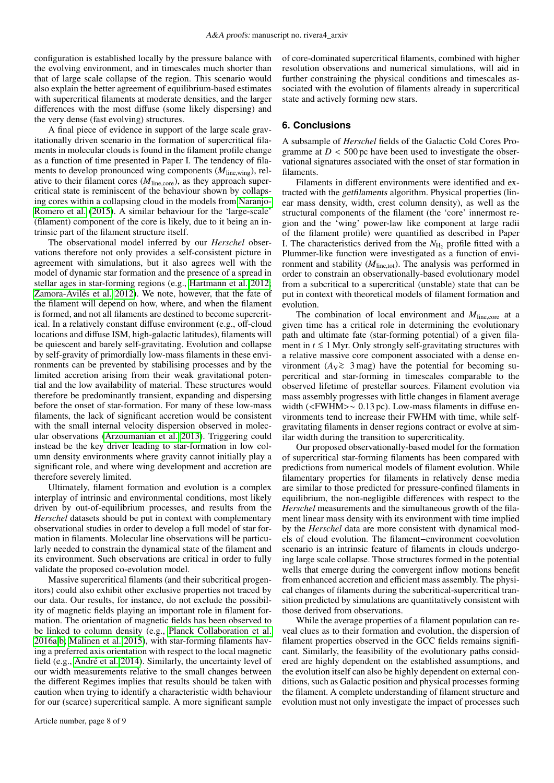configuration is established locally by the pressure balance with the evolving environment, and in timescales much shorter than that of large scale collapse of the region. This scenario would also explain the better agreement of equilibrium-based estimates with supercritical filaments at moderate densities, and the larger differences with the most diffuse (some likely dispersing) and the very dense (fast evolving) structures.

A final piece of evidence in support of the large scale gravitationally driven scenario in the formation of supercritical filaments in molecular clouds is found in the filament profile change as a function of time presented in Paper I. The tendency of filaments to develop pronounced wing components (*M*line,wing), relative to their filament cores ( $M_{\text{line,core}}$ ), as they approach supercritical state is reminiscent of the behaviour shown by collapsing cores within a collapsing cloud in the models from [Naranjo-](#page-8-38)[Romero et al.](#page-8-38) [\(2015\)](#page-8-38). A similar behaviour for the 'large-scale' (filament) component of the core is likely, due to it being an intrinsic part of the filament structure itself.

The observational model inferred by our *Herschel* observations therefore not only provides a self-consistent picture in agreement with simulations, but it also agrees well with the model of dynamic star formation and the presence of a spread in stellar ages in star-forming regions (e.g., [Hartmann et al. 2012;](#page-8-51) [Zamora-Avilés et al. 2012\)](#page-8-52). We note, however, that the fate of the filament will depend on how, where, and when the filament is formed, and not all filaments are destined to become supercritical. In a relatively constant diffuse environment (e.g., off-cloud locations and diffuse ISM, high-galactic latitudes), filaments will be quiescent and barely self-gravitating. Evolution and collapse by self-gravity of primordially low-mass filaments in these environments can be prevented by stabilising processes and by the limited accretion arising from their weak gravitational potential and the low availability of material. These structures would therefore be predominantly transient, expanding and dispersing before the onset of star-formation. For many of these low-mass filaments, the lack of significant accretion would be consistent with the small internal velocity dispersion observed in molecular observations [\(Arzoumanian et al. 2013\)](#page-8-27). Triggering could instead be the key driver leading to star-formation in low column density environments where gravity cannot initially play a significant role, and where wing development and accretion are therefore severely limited.

Ultimately, filament formation and evolution is a complex interplay of intrinsic and environmental conditions, most likely driven by out-of-equilibrium processes, and results from the *Herschel* datasets should be put in context with complementary observational studies in order to develop a full model of star formation in filaments. Molecular line observations will be particularly needed to constrain the dynamical state of the filament and its environment. Such observations are critical in order to fully validate the proposed co-evolution model.

Massive supercritical filaments (and their subcritical progenitors) could also exhibit other exclusive properties not traced by our data. Our results, for instance, do not exclude the possibility of magnetic fields playing an important role in filament formation. The orientation of magnetic fields has been observed to be linked to column density (e.g., [Planck Collaboration et al.](#page-8-53) [2016a,](#page-8-53)[b;](#page-8-54) [Malinen et al. 2015\)](#page-8-55), with star-forming filaments having a preferred axis orientation with respect to the local magnetic field (e.g., [André et al. 2014\)](#page-8-42). Similarly, the uncertainty level of our width measurements relative to the small changes between the different Regimes implies that results should be taken with caution when trying to identify a characteristic width behaviour for our (scarce) supercritical sample. A more significant sample

Article number, page 8 of 9

of core-dominated supercritical filaments, combined with higher resolution observations and numerical simulations, will aid in further constraining the physical conditions and timescales associated with the evolution of filaments already in supercritical state and actively forming new stars.

# <span id="page-7-0"></span>**6. Conclusions**

A subsample of *Herschel* fields of the Galactic Cold Cores Programme at  $D < 500$  pc have been used to investigate the observational signatures associated with the onset of star formation in filaments.

Filaments in different environments were identified and extracted with the getfilaments algorithm. Physical properties (linear mass density, width, crest column density), as well as the structural components of the filament (the 'core' innermost region and the 'wing' power-law like component at large radii of the filament profile) were quantified as described in Paper I. The characteristics derived from the  $N_{\rm H_2}$  profile fitted with a Plummer-like function were investigated as a function of environment and stability ( $M<sub>line,tot</sub>$ ). The analysis was performed in order to constrain an observationally-based evolutionary model from a subcritical to a supercritical (unstable) state that can be put in context with theoretical models of filament formation and evolution.

The combination of local environment and *M*<sub>line,core</sub> at a given time has a critical role in determining the evolutionary path and ultimate fate (star-forming potential) of a given filament in  $$ a relative massive core component associated with a dense environment ( $A_V \gtrsim 3$  mag) have the potential for becoming su-<br>percritical and star forming in timescales comparable to the percritical and star-forming in timescales comparable to the observed lifetime of prestellar sources. Filament evolution via mass assembly progresses with little changes in filament average width (<FWHM>~ 0.13 pc). Low-mass filaments in diffuse environments tend to increase their FWHM with time, while selfgravitating filaments in denser regions contract or evolve at similar width during the transition to supercriticality.

Our proposed observationally-based model for the formation of supercritical star-forming filaments has been compared with predictions from numerical models of filament evolution. While filamentary properties for filaments in relatively dense media are similar to those predicted for pressure-confined filaments in equilibrium, the non-negligible differences with respect to the *Herschel* measurements and the simultaneous growth of the filament linear mass density with its environment with time implied by the *Herschel* data are more consistent with dynamical models of cloud evolution. The filament−environment coevolution scenario is an intrinsic feature of filaments in clouds undergoing large scale collapse. Those structures formed in the potential wells that emerge during the convergent inflow motions benefit from enhanced accretion and efficient mass assembly. The physical changes of filaments during the subcritical-supercritical transition predicted by simulations are quantitatively consistent with those derived from observations.

While the average properties of a filament population can reveal clues as to their formation and evolution, the dispersion of filament properties observed in the GCC fields remains significant. Similarly, the feasibility of the evolutionary paths considered are highly dependent on the established assumptions, and the evolution itself can also be highly dependent on external conditions, such as Galactic position and physical processes forming the filament. A complete understanding of filament structure and evolution must not only investigate the impact of processes such